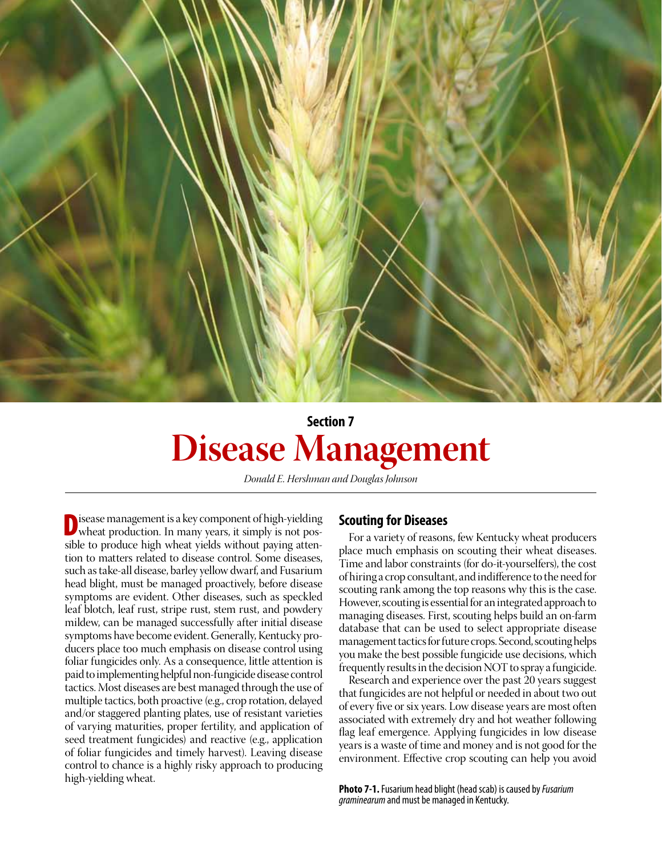

# **Section 7 Disease Management**

*Donald E. Hershman and Douglas Johnson*

Disease management is a key component of high-yielding wheat production. In many years, it simply is not possible to produce high wheat yields without paying attention to matters related to disease control. Some diseases, such as take-all disease, barley yellow dwarf, and Fusarium head blight, must be managed proactively, before disease symptoms are evident. Other diseases, such as speckled leaf blotch, leaf rust, stripe rust, stem rust, and powdery mildew, can be managed successfully after initial disease symptoms have become evident. Generally, Kentucky producers place too much emphasis on disease control using foliar fungicides only. As a consequence, little attention is paid to implementing helpful non-fungicide disease control tactics. Most diseases are best managed through the use of multiple tactics, both proactive (e.g., crop rotation, delayed and/or staggered planting plates, use of resistant varieties of varying maturities, proper fertility, and application of seed treatment fungicides) and reactive (e.g., application of foliar fungicides and timely harvest). Leaving disease control to chance is a highly risky approach to producing high-yielding wheat.

# **Scouting for Diseases**

For a variety of reasons, few Kentucky wheat producers place much emphasis on scouting their wheat diseases. Time and labor constraints (for do-it-yourselfers), the cost of hiring a crop consultant, and indifference to the need for scouting rank among the top reasons why this is the case. However, scouting is essential for an integrated approach to managing diseases. First, scouting helps build an on-farm database that can be used to select appropriate disease management tactics for future crops. Second, scouting helps you make the best possible fungicide use decisions, which frequently results in the decision NOT to spray a fungicide.

Research and experience over the past 20 years suggest that fungicides are not helpful or needed in about two out of every five or six years. Low disease years are most often associated with extremely dry and hot weather following flag leaf emergence. Applying fungicides in low disease years is a waste of time and money and is not good for the environment. Effective crop scouting can help you avoid

**Photo 7-1.** Fusarium head blight (head scab) is caused by *Fusarium graminearum* and must be managed in Kentucky.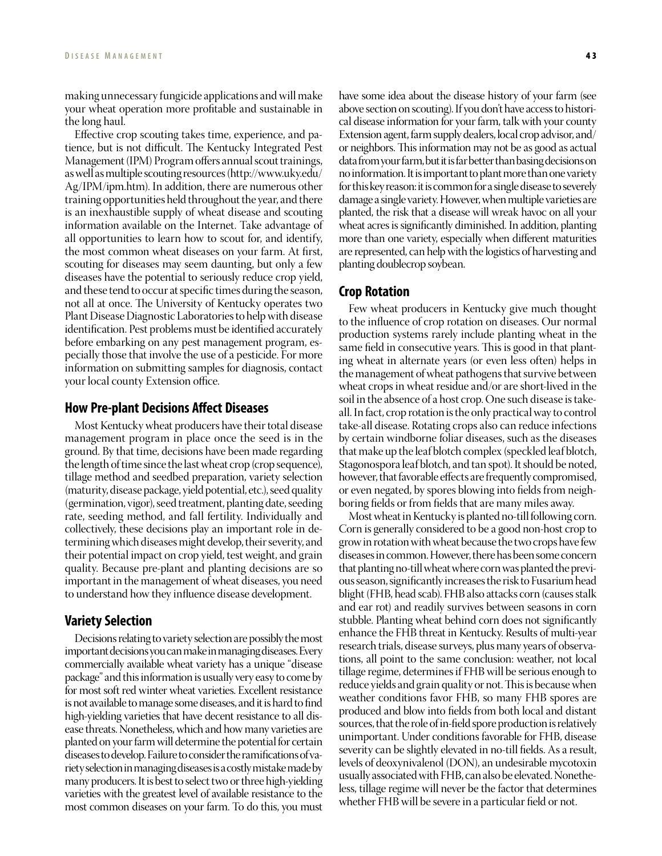making unnecessary fungicide applications and will make your wheat operation more profitable and sustainable in the long haul.

Effective crop scouting takes time, experience, and patience, but is not difficult. The Kentucky Integrated Pest Management (IPM) Program offers annual scout trainings, as well as multiple scouting resources (http://www.uky.edu/ Ag/IPM/ipm.htm). In addition, there are numerous other training opportunities held throughout the year, and there is an inexhaustible supply of wheat disease and scouting information available on the Internet. Take advantage of all opportunities to learn how to scout for, and identify, the most common wheat diseases on your farm. At first, scouting for diseases may seem daunting, but only a few diseases have the potential to seriously reduce crop yield, and these tend to occur at specific times during the season, not all at once. The University of Kentucky operates two Plant Disease Diagnostic Laboratories to help with disease identification. Pest problems must be identified accurately before embarking on any pest management program, especially those that involve the use of a pesticide. For more information on submitting samples for diagnosis, contact your local county Extension office.

# **How Pre-plant Decisions Affect Diseases**

Most Kentucky wheat producers have their total disease management program in place once the seed is in the ground. By that time, decisions have been made regarding the length of time since the last wheat crop (crop sequence), tillage method and seedbed preparation, variety selection (maturity, disease package, yield potential, etc.), seed quality (germination, vigor), seed treatment, planting date, seeding rate, seeding method, and fall fertility. Individually and collectively, these decisions play an important role in determining which diseases might develop, their severity, and their potential impact on crop yield, test weight, and grain quality. Because pre-plant and planting decisions are so important in the management of wheat diseases, you need to understand how they influence disease development.

# **Variety Selection**

Decisions relating to variety selection are possibly the most important decisions you can make in managing diseases. Every commercially available wheat variety has a unique "disease package" and this information is usually very easy to come by for most soft red winter wheat varieties. Excellent resistance is not available to manage some diseases, and it is hard to find high-yielding varieties that have decent resistance to all disease threats. Nonetheless, which and how many varieties are planted on your farm will determine the potential for certain diseases to develop. Failure to consider the ramifications of variety selection in managing diseases is a costly mistake made by many producers. It is best to select two or three high-yielding varieties with the greatest level of available resistance to the most common diseases on your farm. To do this, you must

have some idea about the disease history of your farm (see above section on scouting). If you don't have access to historical disease information for your farm, talk with your county Extension agent, farm supply dealers, local crop advisor, and/ or neighbors. This information may not be as good as actual data from your farm, but it is far better than basing decisions on no information. It is important to plant more than one variety for this key reason: it is common for a single disease to severely damage a single variety. However, when multiple varieties are planted, the risk that a disease will wreak havoc on all your wheat acres is significantly diminished. In addition, planting more than one variety, especially when different maturities are represented, can help with the logistics of harvesting and planting doublecrop soybean.

# **Crop Rotation**

Few wheat producers in Kentucky give much thought to the influence of crop rotation on diseases. Our normal production systems rarely include planting wheat in the same field in consecutive years. This is good in that planting wheat in alternate years (or even less often) helps in the management of wheat pathogens that survive between wheat crops in wheat residue and/or are short-lived in the soil in the absence of a host crop. One such disease is takeall. In fact, crop rotation is the only practical way to control take-all disease. Rotating crops also can reduce infections by certain windborne foliar diseases, such as the diseases that make up the leaf blotch complex (speckled leaf blotch, Stagonospora leaf blotch, and tan spot). It should be noted, however, that favorable effects are frequently compromised, or even negated, by spores blowing into fields from neighboring fields or from fields that are many miles away.

Most wheat in Kentucky is planted no-till following corn. Corn is generally considered to be a good non-host crop to grow in rotation with wheat because the two crops have few diseases in common. However, there has been some concern that planting no-till wheat where corn was planted the previous season, significantly increases the risk to Fusarium head blight (FHB, head scab). FHB also attacks corn (causes stalk and ear rot) and readily survives between seasons in corn stubble. Planting wheat behind corn does not significantly enhance the FHB threat in Kentucky. Results of multi-year research trials, disease surveys, plus many years of observations, all point to the same conclusion: weather, not local tillage regime, determines if FHB will be serious enough to reduce yields and grain quality or not. This is because when weather conditions favor FHB, so many FHB spores are produced and blow into fields from both local and distant sources, that the role of in-field spore production is relatively unimportant. Under conditions favorable for FHB, disease severity can be slightly elevated in no-till fields. As a result, levels of deoxynivalenol (DON), an undesirable mycotoxin usually associated with FHB, can also be elevated. Nonetheless, tillage regime will never be the factor that determines whether FHB will be severe in a particular field or not.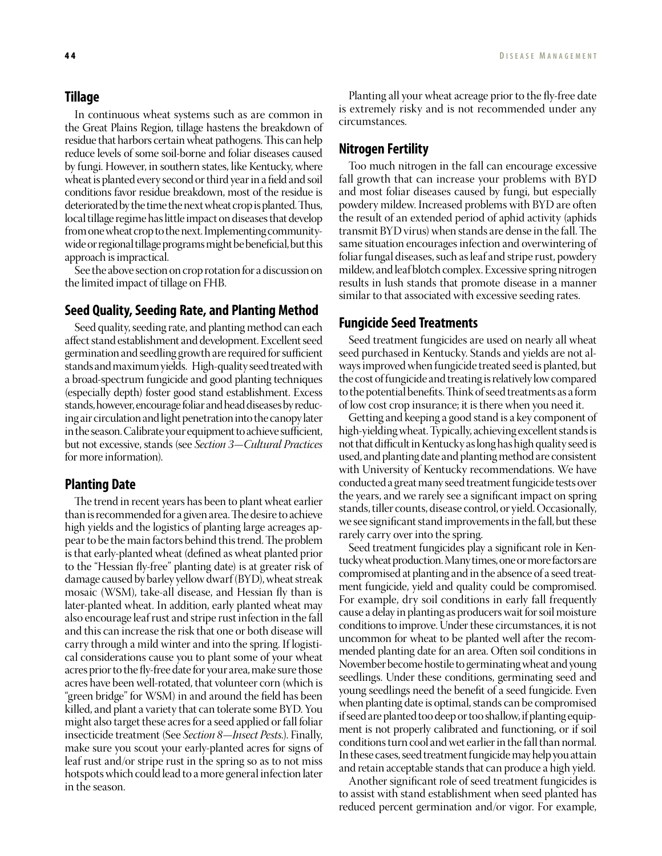# **Tillage**

In continuous wheat systems such as are common in the Great Plains Region, tillage hastens the breakdown of residue that harbors certain wheat pathogens. This can help reduce levels of some soil-borne and foliar diseases caused by fungi. However, in southern states, like Kentucky, where wheat is planted every second or third year in a field and soil conditions favor residue breakdown, most of the residue is deteriorated by the time the next wheat crop is planted. Thus, local tillage regime has little impact on diseases that develop from one wheat crop to the next. Implementing communitywide or regional tillage programs might be beneficial, but this approach is impractical.

See the above section on crop rotation for a discussion on the limited impact of tillage on FHB.

# **Seed Quality, Seeding Rate, and Planting Method**

Seed quality, seeding rate, and planting method can each affect stand establishment and development. Excellent seed germination and seedling growth are required for sufficient stands and maximum yields. High-quality seed treated with a broad-spectrum fungicide and good planting techniques (especially depth) foster good stand establishment. Excess stands, however, encourage foliar and head diseases by reducing air circulation and light penetration into the canopy later in the season. Calibrate your equipment to achieve sufficient, but not excessive, stands (see *Section 3—Cultural Practices*  for more information).

# **Planting Date**

The trend in recent years has been to plant wheat earlier than is recommended for a given area. The desire to achieve high yields and the logistics of planting large acreages appear to be the main factors behind this trend. The problem is that early-planted wheat (defined as wheat planted prior to the "Hessian fly-free" planting date) is at greater risk of damage caused by barley yellow dwarf (BYD), wheat streak mosaic (WSM), take-all disease, and Hessian fly than is later-planted wheat. In addition, early planted wheat may also encourage leaf rust and stripe rust infection in the fall and this can increase the risk that one or both disease will carry through a mild winter and into the spring. If logistical considerations cause you to plant some of your wheat acres prior to the fly-free date for your area, make sure those acres have been well-rotated, that volunteer corn (which is "green bridge" for WSM) in and around the field has been killed, and plant a variety that can tolerate some BYD. You might also target these acres for a seed applied or fall foliar insecticide treatment (See *Section 8—Insect Pests.*). Finally, make sure you scout your early-planted acres for signs of leaf rust and/or stripe rust in the spring so as to not miss hotspots which could lead to a more general infection later in the season.

Planting all your wheat acreage prior to the fly-free date is extremely risky and is not recommended under any circumstances.

# **Nitrogen Fertility**

Too much nitrogen in the fall can encourage excessive fall growth that can increase your problems with BYD and most foliar diseases caused by fungi, but especially powdery mildew. Increased problems with BYD are often the result of an extended period of aphid activity (aphids transmit BYD virus) when stands are dense in the fall. The same situation encourages infection and overwintering of foliar fungal diseases, such as leaf and stripe rust, powdery mildew, and leaf blotch complex. Excessive spring nitrogen results in lush stands that promote disease in a manner similar to that associated with excessive seeding rates.

# **Fungicide Seed Treatments**

Seed treatment fungicides are used on nearly all wheat seed purchased in Kentucky. Stands and yields are not always improved when fungicide treated seed is planted, but the cost of fungicide and treating is relatively low compared to the potential benefits. Think of seed treatments as a form of low cost crop insurance; it is there when you need it.

Getting and keeping a good stand is a key component of high-yielding wheat. Typically, achieving excellent stands is not that difficult in Kentucky as long has high quality seed is used, and planting date and planting method are consistent with University of Kentucky recommendations. We have conducted a great many seed treatment fungicide tests over the years, and we rarely see a significant impact on spring stands, tiller counts, disease control, or yield. Occasionally, we see significant stand improvements in the fall, but these rarely carry over into the spring.

Seed treatment fungicides play a significant role in Kentucky wheat production. Many times, one or more factors are compromised at planting and in the absence of a seed treatment fungicide, yield and quality could be compromised. For example, dry soil conditions in early fall frequently cause a delay in planting as producers wait for soil moisture conditions to improve. Under these circumstances, it is not uncommon for wheat to be planted well after the recommended planting date for an area. Often soil conditions in November become hostile to germinating wheat and young seedlings. Under these conditions, germinating seed and young seedlings need the benefit of a seed fungicide. Even when planting date is optimal, stands can be compromised if seed are planted too deep or too shallow, if planting equipment is not properly calibrated and functioning, or if soil conditions turn cool and wet earlier in the fall than normal. In these cases, seed treatment fungicide may help you attain and retain acceptable stands that can produce a high yield.

Another significant role of seed treatment fungicides is to assist with stand establishment when seed planted has reduced percent germination and/or vigor. For example,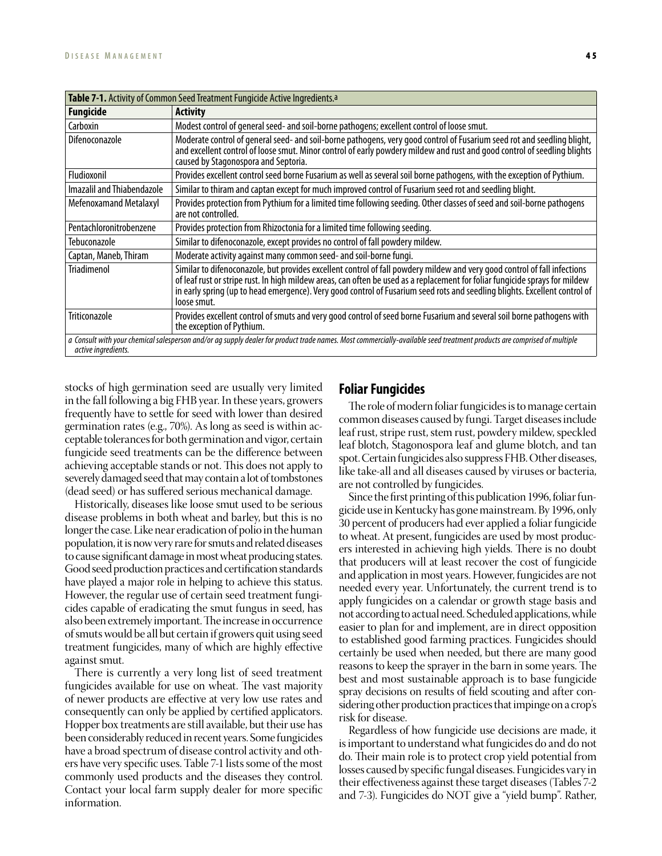| Table 7-1. Activity of Common Seed Treatment Fungicide Active Ingredients.a |                                                                                                                                                                                                                                                                                                                                                                                                        |  |  |
|-----------------------------------------------------------------------------|--------------------------------------------------------------------------------------------------------------------------------------------------------------------------------------------------------------------------------------------------------------------------------------------------------------------------------------------------------------------------------------------------------|--|--|
| <b>Fungicide</b>                                                            | <b>Activity</b>                                                                                                                                                                                                                                                                                                                                                                                        |  |  |
| Carboxin                                                                    | Modest control of general seed- and soil-borne pathogens; excellent control of loose smut.                                                                                                                                                                                                                                                                                                             |  |  |
| <b>Difenoconazole</b>                                                       | Moderate control of general seed- and soil-borne pathogens, very good control of Fusarium seed rot and seedling blight,<br>and excellent control of loose smut. Minor control of early powdery mildew and rust and good control of seedling blights<br>caused by Stagonospora and Septoria.                                                                                                            |  |  |
| Fludioxonil                                                                 | Provides excellent control seed borne Fusarium as well as several soil borne pathogens, with the exception of Pythium.                                                                                                                                                                                                                                                                                 |  |  |
| Imazalil and Thiabendazole                                                  | Similar to thiram and captan except for much improved control of Fusarium seed rot and seedling blight.                                                                                                                                                                                                                                                                                                |  |  |
| Mefenoxamand Metalaxyl                                                      | Provides protection from Pythium for a limited time following seeding. Other classes of seed and soil-borne pathogens<br>are not controlled.                                                                                                                                                                                                                                                           |  |  |
| Pentachloronitrobenzene                                                     | Provides protection from Rhizoctonia for a limited time following seeding.                                                                                                                                                                                                                                                                                                                             |  |  |
| Tebuconazole                                                                | Similar to difenoconazole, except provides no control of fall powdery mildew.                                                                                                                                                                                                                                                                                                                          |  |  |
| Captan, Maneb, Thiram                                                       | Moderate activity against many common seed- and soil-borne fungi.                                                                                                                                                                                                                                                                                                                                      |  |  |
| <b>Triadimenol</b>                                                          | Similar to difenoconazole, but provides excellent control of fall powdery mildew and very good control of fall infections<br>of leaf rust or stripe rust. In high mildew areas, can often be used as a replacement for foliar fungicide sprays for mildew<br>in early spring (up to head emergence). Very good control of Fusarium seed rots and seedling blights. Excellent control of<br>loose smut. |  |  |
| <b>Triticonazole</b>                                                        | Provides excellent control of smuts and very good control of seed borne Fusarium and several soil borne pathogens with<br>the exception of Pythium.                                                                                                                                                                                                                                                    |  |  |
| active ingredients.                                                         | a Consult with your chemical salesperson and/or ag supply dealer for product trade names. Most commercially-available seed treatment products are comprised of multiple                                                                                                                                                                                                                                |  |  |

stocks of high germination seed are usually very limited in the fall following a big FHB year. In these years, growers frequently have to settle for seed with lower than desired germination rates (e.g., 70%). As long as seed is within acceptable tolerances for both germination and vigor, certain fungicide seed treatments can be the difference between achieving acceptable stands or not. This does not apply to severely damaged seed that may contain a lot of tombstones (dead seed) or has suffered serious mechanical damage.

Historically, diseases like loose smut used to be serious disease problems in both wheat and barley, but this is no longer the case. Like near eradication of polio in the human population, it is now very rare for smuts and related diseases to cause significant damage in most wheat producing states. Good seed production practices and certification standards have played a major role in helping to achieve this status. However, the regular use of certain seed treatment fungicides capable of eradicating the smut fungus in seed, has also been extremely important. The increase in occurrence of smuts would be all but certain if growers quit using seed treatment fungicides, many of which are highly effective against smut.

There is currently a very long list of seed treatment fungicides available for use on wheat. The vast majority of newer products are effective at very low use rates and consequently can only be applied by certified applicators. Hopper box treatments are still available, but their use has been considerably reduced in recent years. Some fungicides have a broad spectrum of disease control activity and others have very specific uses. Table 7-1 lists some of the most commonly used products and the diseases they control. Contact your local farm supply dealer for more specific information.

# **Foliar Fungicides**

The role of modern foliar fungicides is to manage certain common diseases caused by fungi. Target diseases include leaf rust, stripe rust, stem rust, powdery mildew, speckled leaf blotch, Stagonospora leaf and glume blotch, and tan spot. Certain fungicides also suppress FHB. Other diseases, like take-all and all diseases caused by viruses or bacteria, are not controlled by fungicides.

Since the first printing of this publication 1996, foliar fungicide use in Kentucky has gone mainstream. By 1996, only 30 percent of producers had ever applied a foliar fungicide to wheat. At present, fungicides are used by most producers interested in achieving high yields. There is no doubt that producers will at least recover the cost of fungicide and application in most years. However, fungicides are not needed every year. Unfortunately, the current trend is to apply fungicides on a calendar or growth stage basis and not according to actual need. Scheduled applications, while easier to plan for and implement, are in direct opposition to established good farming practices. Fungicides should certainly be used when needed, but there are many good reasons to keep the sprayer in the barn in some years. The best and most sustainable approach is to base fungicide spray decisions on results of field scouting and after considering other production practices that impinge on a crop's risk for disease.

Regardless of how fungicide use decisions are made, it is important to understand what fungicides do and do not do. Their main role is to protect crop yield potential from losses caused by specific fungal diseases. Fungicides vary in their effectiveness against these target diseases (Tables 7-2 and 7-3). Fungicides do NOT give a "yield bump". Rather,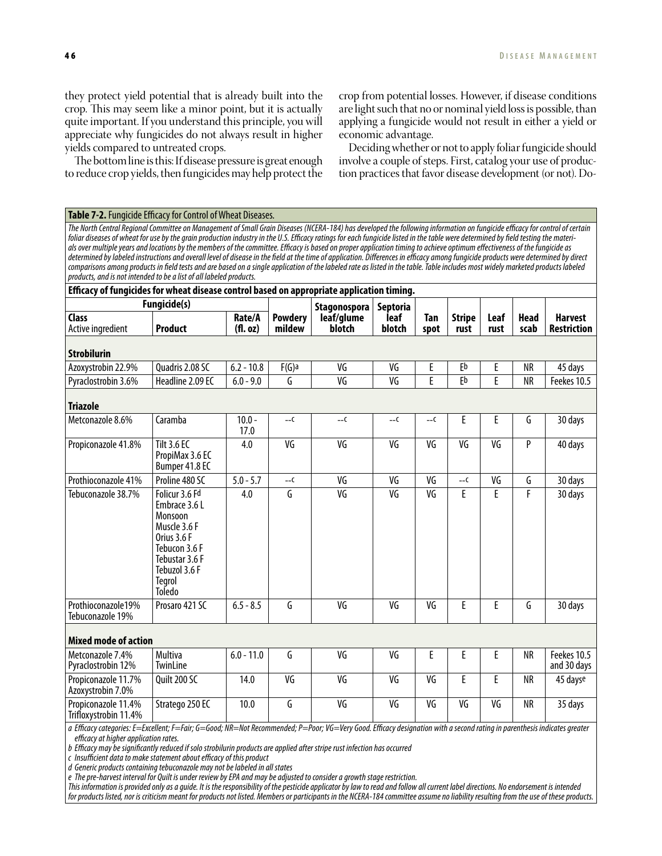and 30 days

they protect yield potential that is already built into the crop. This may seem like a minor point, but it is actually quite important. If you understand this principle, you will appreciate why fungicides do not always result in higher yields compared to untreated crops.

The bottom line is this: If disease pressure is great enough to reduce crop yields, then fungicides may help protect the crop from potential losses. However, if disease conditions are light such that no or nominal yield loss is possible, than applying a fungicide would not result in either a yield or economic advantage.

Deciding whether or not to apply foliar fungicide should involve a couple of steps. First, catalog your use of production practices that favor disease development (or not). Do-

**Table 7-2.** Fungicide Efficacy for Control of Wheat Diseases. *The North Central Regional Committee on Management of Small Grain Diseases (NCERA-184) has developed the following information on fungicide efficacy for control of certain foliar diseases of wheat for use by the grain production industry in the U.S. Efficacy ratings for each fungicide listed in the table were determined by field testing the materials over multiple years and locations by the members of the committee. Efficacy is based on proper application timing to achieve optimum effectiveness of the fungicide as determined by labeled instructions and overall level of disease in the field at the time of application. Differences in efficacy among fungicide products were determined by direct comparisons among products in field tests and are based on a single application of the labeled rate as listed in the table. Table includes most widely marketed products labeled products, and is not intended to be a list of all labeled products.*  **Efficacy of fungicides for wheat disease control based on appropriate application timing. Fungicide(s) Powdery mildew Stagonospora leaf/glume blotch Septoria leaf blotch Tan spot Stripe rust Leaf rust Head scab Harvest Restriction Class** Active ingredient **Product Rate/A (fl. oz) Strobilurin** Azoxystrobin 22.9% | Quadris 2.08 SC | 6.2 - 10.8 | F(G)a | VG | VG | E | Eb | E | NR | 45 days Pyraclostrobin 3.6% Headline 2.09 EC 6.0 - 9.0 G VG VG E Eb E NR Feekes 10.5 **Triazole** Metconazole 8.6% Caramba 10.0 -10.0 --c --c --c --c --c --c E E G 30 days Propiconazole 41.8% | Tilt 3.6 EC PropiMax 3.6 EC Bumper 41.8 EC 4.0 VG VG VG VG VG VG P 40 days Prothioconazole 41% Proline 480 SC 5.0 - 5.7 --c VG VG VG --c VG G 30 days Tebuconazole 38.7% Folicur 3.6 Fd Embrace 3.6 L Monsoon Muscle 3.6 F Orius 3.6 F 4.0 G VG VG VG E E F 30 days

**Mixed mode of action** Metconazole 7.4% Pyraclostrobin 12% Multiva **TwinLine** 6.0 - 11.0 G VG VG E E E NR Feekes 10.5 Propiconazole 11.7% Quilt 200 SC 14.0 VG VG VG VG E E NR 45 dayse

Azoxystrobin 7.0% Propiconazole 11.4% Trifloxystrobin 11.4% Stratego 250 EC 10.0 G VG VG VG VG VG VG NR 35 days

Prothioconazole19% Tebuconazole 19%

*a Efficacy categories: E=Excellent; F=Fair; G=Good; NR=Not Recommended; P=Poor; VG=Very Good. Efficacy designation with a second rating in parenthesis indicates greater efficacy at higher application rates.*

Prosaro 421 SC 6.5 - 8.5 G VG VG VG E E G 30 days

*b Efficacy may be significantly reduced if solo strobilurin products are applied after stripe rust infection has occurred*

*c Insufficient data to make statement about efficacy of this product*

*d Generic products containing tebuconazole may not be labeled in all states* 

Tebucon 3.6 F Tebustar 3.6 F Tebuzol 3.6 F **Tegrol** Toledo

*e The pre-harvest interval for Quilt is under review by EPA and may be adjusted to consider a growth stage restriction.* 

*This information is provided only as a guide. It is the responsibility of the pesticide applicator by law to read and follow all current label directions. No endorsement is intended for products listed, nor is criticism meant for products not listed. Members or participants in the NCERA-184 committee assume no liability resulting from the use of these products.*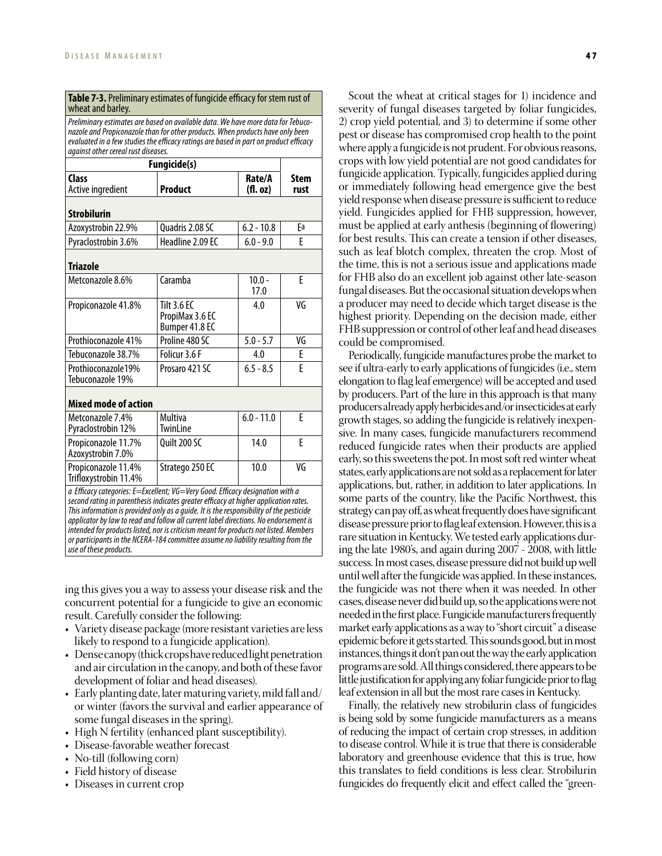| <b>Fungicide(s)</b>                          |                                                         |                    |                     |
|----------------------------------------------|---------------------------------------------------------|--------------------|---------------------|
| Class<br>Active ingredient                   | Product                                                 | Rate/A<br>(f1. oz) | <b>Stem</b><br>rust |
| <b>Strobilurin</b>                           |                                                         |                    |                     |
| Azoxystrobin 22.9%                           | Quadris 2.08 SC                                         | $6.2 - 10.8$       | Fa                  |
| Pyraclostrobin 3.6%                          | Headline 2.09 EC                                        | $6.0 - 9.0$        | F                   |
| <b>Triazole</b>                              |                                                         |                    |                     |
| Metconazole 8.6%                             | Caramba                                                 | $10.0 -$<br>17.0   | F                   |
| Propiconazole 41.8%                          | <b>Tilt 3.6 EC</b><br>PropiMax 3.6 EC<br>Bumper 41.8 EC | 4.0                | VG                  |
| Prothioconazole 41%                          | Proline 480 SC                                          | $5.0 - 5.7$        | VG                  |
| Tebuconazole 38.7%                           | Folicur 3.6 F                                           | 4.0                | F                   |
| Prothioconazole19%<br>Tebuconazole 19%       | Prosaro 421 SC                                          | $6.5 - 8.5$        | E                   |
| <b>Mixed mode of action</b>                  |                                                         |                    |                     |
| Metconazole 7.4%<br>Pyraclostrobin 12%       | Multiva<br><b>TwinLine</b>                              | $6.0 - 11.0$       | F                   |
| Propiconazole 11.7%<br>Azoxystrobin 7.0%     | Quilt 200 SC                                            | 14.0               | F                   |
| Propiconazole 11.4%<br>Trifloxystrobin 11.4% | Stratego 250 EC                                         | 10.0               | VG                  |

*applicator by law to read and follow all current label directions. No endorsement is intended for products listed, nor is criticism meant for products not listed. Members or participants in the NCERA-184 committee assume no liability resulting from the use of these products.* 

ing this gives you a way to assess your disease risk and the concurrent potential for a fungicide to give an economic result. Carefully consider the following:

- Variety disease package (more resistant varieties are less likely to respond to a fungicide application).
- Dense canopy (thick crops have reduced light penetration and air circulation in the canopy, and both of these favor development of foliar and head diseases).
- $\bullet$  Early planting date, later maturing variety, mild fall and/ or winter (favors the survival and earlier appearance of some fungal diseases in the spring).
- High N fertility (enhanced plant susceptibility).
- Disease-favorable weather forecast
- No-till (following corn)
- Field history of disease
- Diseases in current crop

Scout the wheat at critical stages for 1) incidence and severity of fungal diseases targeted by foliar fungicides, 2) crop yield potential, and 3) to determine if some other pest or disease has compromised crop health to the point where apply a fungicide is not prudent. For obvious reasons, crops with low yield potential are not good candidates for fungicide application. Typically, fungicides applied during or immediately following head emergence give the best yield response when disease pressure is sufficient to reduce yield. Fungicides applied for FHB suppression, however, must be applied at early anthesis (beginning of flowering) for best results. This can create a tension if other diseases, such as leaf blotch complex, threaten the crop. Most of the time, this is not a serious issue and applications made for FHB also do an excellent job against other late-season fungal diseases. But the occasional situation develops when a producer may need to decide which target disease is the highest priority. Depending on the decision made, either FHB suppression or control of other leaf and head diseases could be compromised.

Periodically, fungicide manufactures probe the market to see if ultra-early to early applications of fungicides (i.e., stem elongation to flag leaf emergence) will be accepted and used by producers. Part of the lure in this approach is that many producers already apply herbicides and/or insecticides at early growth stages, so adding the fungicide is relatively inexpensive. In many cases, fungicide manufacturers recommend reduced fungicide rates when their products are applied early, so this sweetens the pot. In most soft red winter wheat states, early applications are not sold as a replacement for later applications, but, rather, in addition to later applications. In some parts of the country, like the Pacific Northwest, this strategy can pay off, as wheat frequently does have significant disease pressure prior to flag leaf extension. However, this is a rare situation in Kentucky. We tested early applications during the late 1980's, and again during 2007 - 2008, with little success. In most cases, disease pressure did not build up well until well after the fungicide was applied. In these instances, the fungicide was not there when it was needed. In other cases, disease never did build up, so the applications were not needed in the first place. Fungicide manufacturers frequently market early applications as a way to "short circuit" a disease epidemic before it gets started. This sounds good, but in most instances, things it don't pan out the way the early application programs are sold. All things considered, there appears to be little justification for applying any foliar fungicide prior to flag leaf extension in all but the most rare cases in Kentucky.

Finally, the relatively new strobilurin class of fungicides is being sold by some fungicide manufacturers as a means of reducing the impact of certain crop stresses, in addition to disease control. While it is true that there is considerable laboratory and greenhouse evidence that this is true, how this translates to field conditions is less clear. Strobilurin fungicides do frequently elicit and effect called the "green-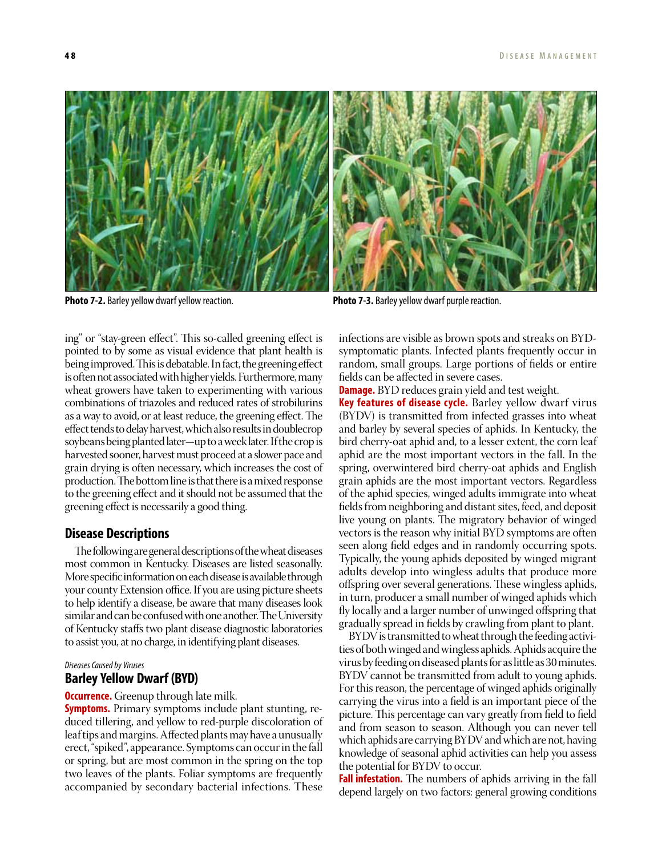**Photo 7-2.** Barley yellow dwarf yellow reaction. **Photo 7-3.** Barley yellow dwarf purple reaction.

ing" or "stay-green effect". This so-called greening effect is pointed to by some as visual evidence that plant health is being improved. This is debatable. In fact, the greening effect is often not associated with higher yields. Furthermore, many wheat growers have taken to experimenting with various combinations of triazoles and reduced rates of strobilurins as a way to avoid, or at least reduce, the greening effect. The effect tends to delay harvest, which also results in doublecrop soybeans being planted later—up to a week later. If the crop is harvested sooner, harvest must proceed at a slower pace and grain drying is often necessary, which increases the cost of production. The bottom line is that there is a mixed response to the greening effect and it should not be assumed that the greening effect is necessarily a good thing.

# **Disease Descriptions**

The following are general descriptions of the wheat diseases most common in Kentucky. Diseases are listed seasonally. More specific information on each disease is available through your county Extension office. If you are using picture sheets to help identify a disease, be aware that many diseases look similar and can be confused with one another. The University of Kentucky staffs two plant disease diagnostic laboratories to assist you, at no charge, in identifying plant diseases.

#### *Diseases Caused by Viruses*

# **Barley Yellow Dwarf (BYD)**

**Occurrence.** Greenup through late milk.

**Symptoms.** Primary symptoms include plant stunting, reduced tillering, and yellow to red-purple discoloration of leaf tips and margins. Affected plants may have a unusually erect, "spiked", appearance. Symptoms can occur in the fall or spring, but are most common in the spring on the top two leaves of the plants. Foliar symptoms are frequently accompanied by secondary bacterial infections. These

infections are visible as brown spots and streaks on BYDsymptomatic plants. Infected plants frequently occur in random, small groups. Large portions of fields or entire fields can be affected in severe cases.

**Damage.** BYD reduces grain yield and test weight.

**Key features of disease cycle.** Barley yellow dwarf virus (BYDV) is transmitted from infected grasses into wheat and barley by several species of aphids. In Kentucky, the bird cherry-oat aphid and, to a lesser extent, the corn leaf aphid are the most important vectors in the fall. In the spring, overwintered bird cherry-oat aphids and English grain aphids are the most important vectors. Regardless of the aphid species, winged adults immigrate into wheat fields from neighboring and distant sites, feed, and deposit live young on plants. The migratory behavior of winged vectors is the reason why initial BYD symptoms are often seen along field edges and in randomly occurring spots. Typically, the young aphids deposited by winged migrant adults develop into wingless adults that produce more offspring over several generations. These wingless aphids, in turn, producer a small number of winged aphids which fly locally and a larger number of unwinged offspring that gradually spread in fields by crawling from plant to plant.

BYDV is transmitted to wheat through the feeding activities of both winged and wingless aphids. Aphids acquire the virus by feeding on diseased plants for as little as 30 minutes. BYDV cannot be transmitted from adult to young aphids. For this reason, the percentage of winged aphids originally carrying the virus into a field is an important piece of the picture. This percentage can vary greatly from field to field and from season to season. Although you can never tell which aphids are carrying BYDV and which are not, having knowledge of seasonal aphid activities can help you assess the potential for BYDV to occur.

**Fall infestation.** The numbers of aphids arriving in the fall depend largely on two factors: general growing conditions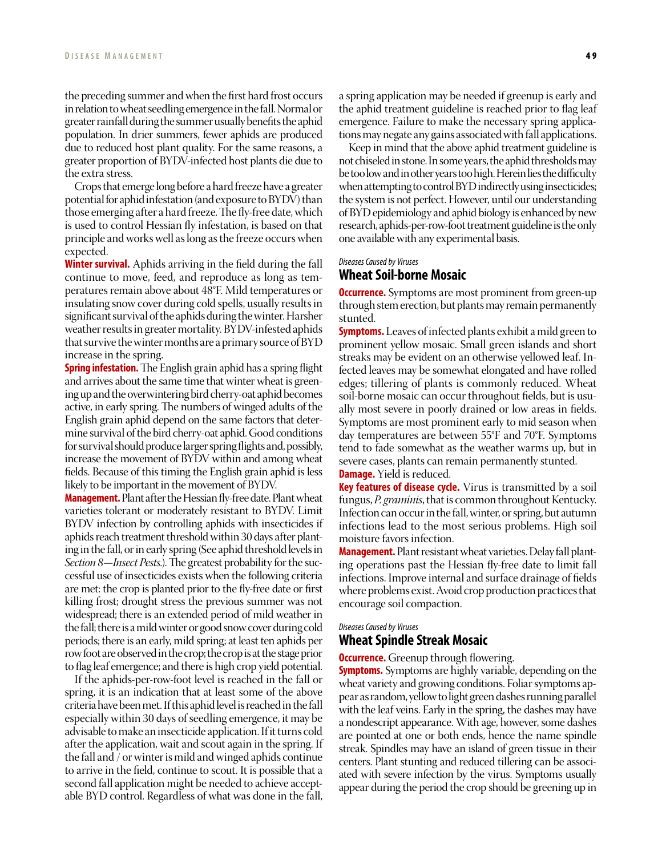the preceding summer and when the first hard frost occurs in relation to wheat seedling emergence in the fall. Normal or greater rainfall during the summer usually benefits the aphid population. In drier summers, fewer aphids are produced due to reduced host plant quality. For the same reasons, a greater proportion of BYDV-infected host plants die due to the extra stress.

Crops that emerge long before a hard freeze have a greater potential for aphid infestation (and exposure to BYDV) than those emerging after a hard freeze. The fly-free date, which is used to control Hessian fly infestation, is based on that principle and works well as long as the freeze occurs when expected.

**Winter survival.** Aphids arriving in the field during the fall continue to move, feed, and reproduce as long as temperatures remain above about 48°F. Mild temperatures or insulating snow cover during cold spells, usually results in significant survival of the aphids during the winter. Harsher weather results in greater mortality. BYDV-infested aphids that survive the winter months are a primary source of BYD increase in the spring.

**Spring infestation.** The English grain aphid has a spring flight and arrives about the same time that winter wheat is greening up and the overwintering bird cherry-oat aphid becomes active, in early spring. The numbers of winged adults of the English grain aphid depend on the same factors that determine survival of the bird cherry-oat aphid. Good conditions for survival should produce larger spring flights and, possibly, increase the movement of BYDV within and among wheat fields. Because of this timing the English grain aphid is less likely to be important in the movement of BYDV.

**Management.** Plant after the Hessian fly-free date. Plant wheat varieties tolerant or moderately resistant to BYDV. Limit BYDV infection by controlling aphids with insecticides if aphids reach treatment threshold within 30 days after planting in the fall, or in early spring (See aphid threshold levels in *Section 8—Insect Pests.*). The greatest probability for the successful use of insecticides exists when the following criteria are met: the crop is planted prior to the fly-free date or first killing frost; drought stress the previous summer was not widespread; there is an extended period of mild weather in the fall; there is a mild winter or good snow cover during cold periods; there is an early, mild spring; at least ten aphids per row foot are observed in the crop; the crop is at the stage prior to flag leaf emergence; and there is high crop yield potential.

If the aphids-per-row-foot level is reached in the fall or spring, it is an indication that at least some of the above criteria have been met. If this aphid level is reached in the fall especially within 30 days of seedling emergence, it may be advisable to make an insecticide application. If it turns cold after the application, wait and scout again in the spring. If the fall and / or winter is mild and winged aphids continue to arrive in the field, continue to scout. It is possible that a second fall application might be needed to achieve acceptable BYD control. Regardless of what was done in the fall,

a spring application may be needed if greenup is early and the aphid treatment guideline is reached prior to flag leaf emergence. Failure to make the necessary spring applications may negate any gains associated with fall applications.

Keep in mind that the above aphid treatment guideline is not chiseled in stone. In some years, the aphid thresholds may be too low and in other years too high. Herein lies the difficulty when attempting to control BYD indirectly using insecticides; the system is not perfect. However, until our understanding of BYD epidemiology and aphid biology is enhanced by new research, aphids-per-row-foot treatment guideline is the only one available with any experimental basis.

#### *Diseases Caused by Viruses*

# **Wheat Soil-borne Mosaic**

**Occurrence.** Symptoms are most prominent from green-up through stem erection, but plants may remain permanently stunted.

**Symptoms.** Leaves of infected plants exhibit a mild green to prominent yellow mosaic. Small green islands and short streaks may be evident on an otherwise yellowed leaf. Infected leaves may be somewhat elongated and have rolled edges; tillering of plants is commonly reduced. Wheat soil-borne mosaic can occur throughout fields, but is usually most severe in poorly drained or low areas in fields. Symptoms are most prominent early to mid season when day temperatures are between 55°F and 70°F. Symptoms tend to fade somewhat as the weather warms up, but in severe cases, plants can remain permanently stunted. **Damage.** Yield is reduced.

**Key features of disease cycle.** Virus is transmitted by a soil fungus, *P. graminis*, that is common throughout Kentucky. Infection can occur in the fall, winter, or spring, but autumn infections lead to the most serious problems. High soil moisture favors infection.

**Management.** Plant resistant wheat varieties. Delay fall planting operations past the Hessian fly-free date to limit fall infections. Improve internal and surface drainage of fields where problems exist. Avoid crop production practices that encourage soil compaction.

#### *Diseases Caused by Viruses*

# **Wheat Spindle Streak Mosaic**

**Occurrence.** Greenup through flowering.

**Symptoms.** Symptoms are highly variable, depending on the wheat variety and growing conditions. Foliar symptoms appear as random, yellow to light green dashes running parallel with the leaf veins. Early in the spring, the dashes may have a nondescript appearance. With age, however, some dashes are pointed at one or both ends, hence the name spindle streak. Spindles may have an island of green tissue in their centers. Plant stunting and reduced tillering can be associated with severe infection by the virus. Symptoms usually appear during the period the crop should be greening up in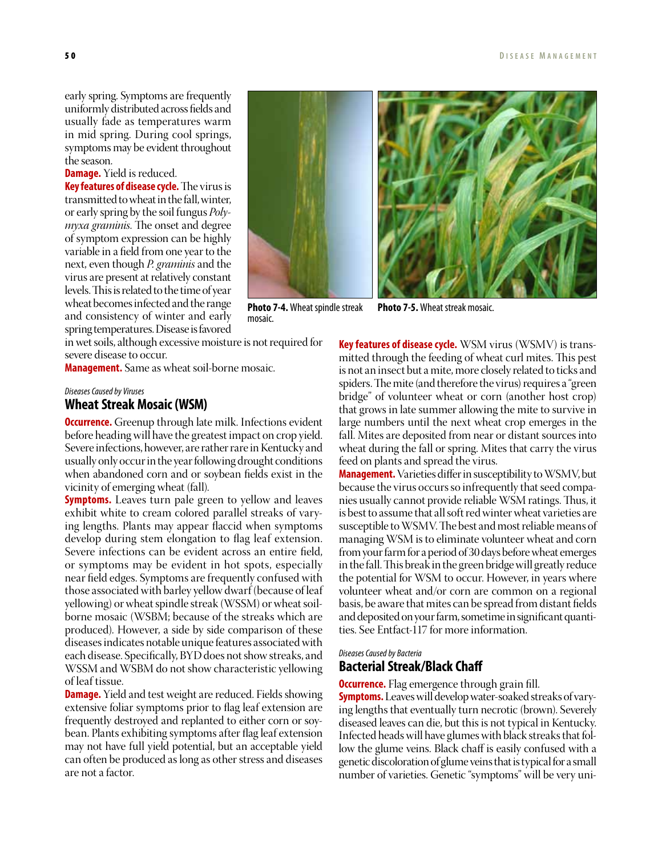early spring. Symptoms are frequently uniformly distributed across fields and usually fade as temperatures warm in mid spring. During cool springs, symptoms may be evident throughout the season.

# **Damage.** Yield is reduced.

**Key features of disease cycle.** The virus is transmitted to wheat in the fall, winter, or early spring by the soil fungus *Polymyxa graminis*. The onset and degree of symptom expression can be highly variable in a field from one year to the next, even though *P. graminis* and the virus are present at relatively constant levels. This is related to the time of year wheat becomes infected and the range and consistency of winter and early spring temperatures. Disease is favored

in wet soils, although excessive moisture is not required for severe disease to occur.

mosaic.

**Management.** Same as wheat soil-borne mosaic.

# *Diseases Caused by Viruses* **Wheat Streak Mosaic (WSM)**

**Occurrence.** Greenup through late milk. Infections evident before heading will have the greatest impact on crop yield. Severe infections, however, are rather rare in Kentucky and usually only occur in the year following drought conditions when abandoned corn and or soybean fields exist in the vicinity of emerging wheat (fall).

**Symptoms.** Leaves turn pale green to yellow and leaves exhibit white to cream colored parallel streaks of varying lengths. Plants may appear flaccid when symptoms develop during stem elongation to flag leaf extension. Severe infections can be evident across an entire field, or symptoms may be evident in hot spots, especially near field edges. Symptoms are frequently confused with those associated with barley yellow dwarf (because of leaf yellowing) or wheat spindle streak (WSSM) or wheat soilborne mosaic (WSBM; because of the streaks which are produced). However, a side by side comparison of these diseases indicates notable unique features associated with each disease. Specifically, BYD does not show streaks, and WSSM and WSBM do not show characteristic yellowing of leaf tissue.

**Damage.** Yield and test weight are reduced. Fields showing extensive foliar symptoms prior to flag leaf extension are frequently destroyed and replanted to either corn or soybean. Plants exhibiting symptoms after flag leaf extension may not have full yield potential, but an acceptable yield can often be produced as long as other stress and diseases are not a factor.



**Photo 7-4.** Wheat spindle streak

**Photo 7-5.** Wheat streak mosaic.

**Key features of disease cycle.** WSM virus (WSMV) is transmitted through the feeding of wheat curl mites. This pest is not an insect but a mite, more closely related to ticks and spiders. The mite (and therefore the virus) requires a "green bridge" of volunteer wheat or corn (another host crop) that grows in late summer allowing the mite to survive in large numbers until the next wheat crop emerges in the fall. Mites are deposited from near or distant sources into wheat during the fall or spring. Mites that carry the virus feed on plants and spread the virus.

**Management.** Varieties differ in susceptibility to WSMV, but because the virus occurs so infrequently that seed companies usually cannot provide reliable WSM ratings. Thus, it is best to assume that all soft red winter wheat varieties are susceptible to WSMV. The best and most reliable means of managing WSM is to eliminate volunteer wheat and corn from your farm for a period of 30 days before wheat emerges in the fall. This break in the green bridge will greatly reduce the potential for WSM to occur. However, in years where volunteer wheat and/or corn are common on a regional basis, be aware that mites can be spread from distant fields and deposited on your farm, sometime in significant quantities. See Entfact-117 for more information.

# *Diseases Caused by Bacteria* **Bacterial Streak/Black Chaff**

**Occurrence.** Flag emergence through grain fill. **Symptoms.** Leaves will develop water-soaked streaks of varying lengths that eventually turn necrotic (brown). Severely diseased leaves can die, but this is not typical in Kentucky. Infected heads will have glumes with black streaks that follow the glume veins. Black chaff is easily confused with a genetic discoloration of glume veins that is typical for a small number of varieties. Genetic "symptoms" will be very uni-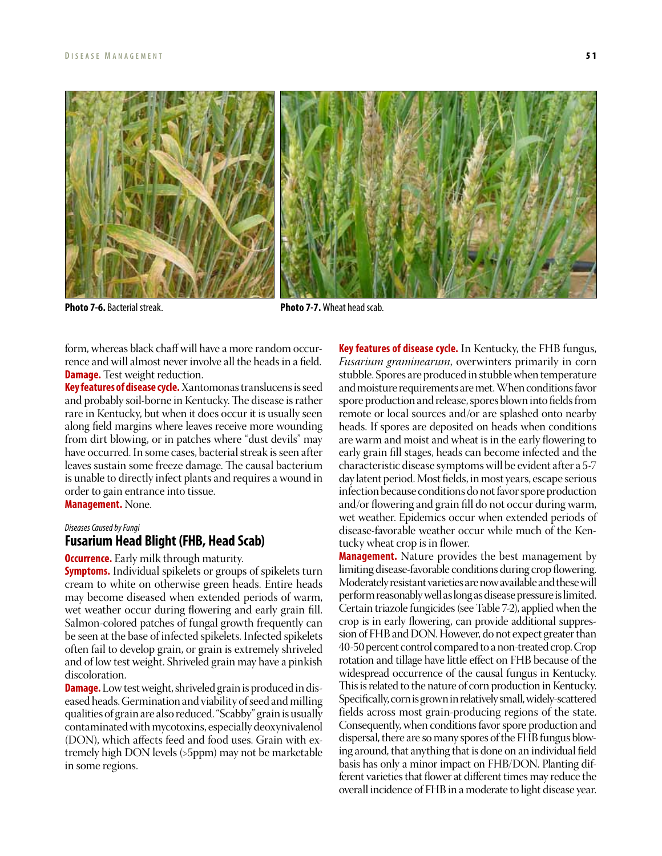

**Photo 7-6.** Bacterial streak. **Photo 7-7.** Wheat head scab.

form, whereas black chaff will have a more random occurrence and will almost never involve all the heads in a field. **Damage.** Test weight reduction.

**Key features of disease cycle.** Xantomonas translucens is seed and probably soil-borne in Kentucky. The disease is rather rare in Kentucky, but when it does occur it is usually seen along field margins where leaves receive more wounding from dirt blowing, or in patches where "dust devils" may have occurred. In some cases, bacterial streak is seen after leaves sustain some freeze damage. The causal bacterium is unable to directly infect plants and requires a wound in order to gain entrance into tissue. **Management.** None.

# *Diseases Caused by Fungi*

# **Fusarium Head Blight (FHB, Head Scab)**

**Occurrence.** Early milk through maturity.

**Symptoms.** Individual spikelets or groups of spikelets turn cream to white on otherwise green heads. Entire heads may become diseased when extended periods of warm, wet weather occur during flowering and early grain fill. Salmon-colored patches of fungal growth frequently can be seen at the base of infected spikelets. Infected spikelets often fail to develop grain, or grain is extremely shriveled and of low test weight. Shriveled grain may have a pinkish discoloration.

**Damage.** Low test weight, shriveled grain is produced in diseased heads. Germination and viability of seed and milling qualities of grain are also reduced. "Scabby" grain is usually contaminated with mycotoxins, especially deoxynivalenol (DON), which affects feed and food uses. Grain with extremely high DON levels (>5ppm) may not be marketable in some regions.

**Key features of disease cycle.** In Kentucky, the FHB fungus, *Fusarium graminearum*, overwinters primarily in corn stubble. Spores are produced in stubble when temperature and moisture requirements are met. When conditions favor spore production and release, spores blown into fields from remote or local sources and/or are splashed onto nearby heads. If spores are deposited on heads when conditions are warm and moist and wheat is in the early flowering to early grain fill stages, heads can become infected and the characteristic disease symptoms will be evident after a 5-7 day latent period. Most fields, in most years, escape serious infection because conditions do not favor spore production and/or flowering and grain fill do not occur during warm, wet weather. Epidemics occur when extended periods of disease-favorable weather occur while much of the Kentucky wheat crop is in flower.

**Management.** Nature provides the best management by limiting disease-favorable conditions during crop flowering. Moderately resistant varieties are now available and these will perform reasonably well as long as disease pressure is limited. Certain triazole fungicides (see Table 7-2), applied when the crop is in early flowering, can provide additional suppression of FHB and DON. However, do not expect greater than 40-50 percent control compared to a non-treated crop. Crop rotation and tillage have little effect on FHB because of the widespread occurrence of the causal fungus in Kentucky. This is related to the nature of corn production in Kentucky. Specifically, corn is grown in relatively small, widely-scattered fields across most grain-producing regions of the state. Consequently, when conditions favor spore production and dispersal, there are so many spores of the FHB fungus blowing around, that anything that is done on an individual field basis has only a minor impact on FHB/DON. Planting different varieties that flower at different times may reduce the overall incidence of FHB in a moderate to light disease year.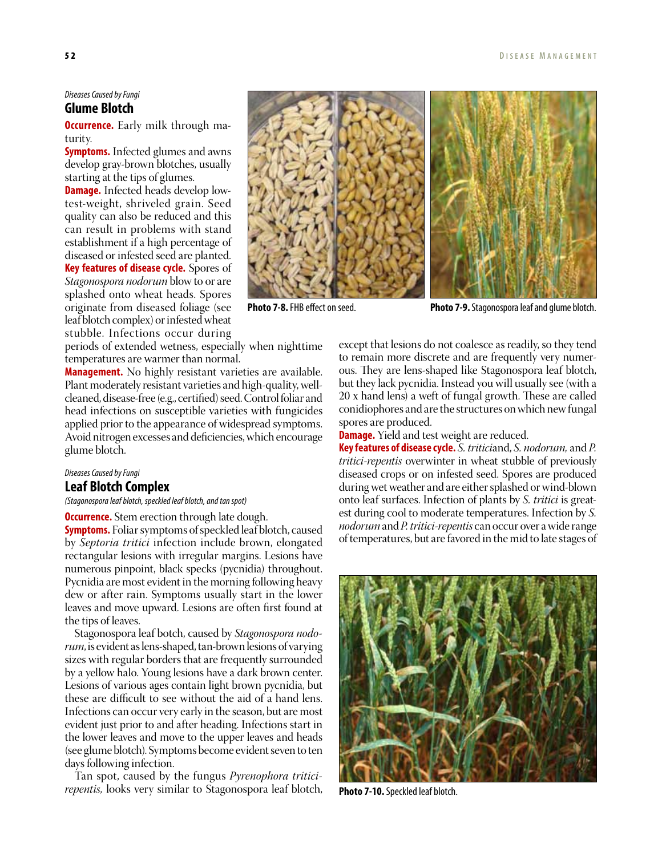## *Diseases Caused by Fungi* **Glume Blotch**

**Occurrence.** Early milk through maturity.

**Symptoms.** Infected glumes and awns develop gray-brown blotches, usually starting at the tips of glumes.

**Damage.** Infected heads develop lowtest-weight, shriveled grain. Seed quality can also be reduced and this can result in problems with stand establishment if a high percentage of diseased or infested seed are planted. **Key features of disease cycle.** Spores of *Stagonospora nodorum* blow to or are splashed onto wheat heads. Spores originate from diseased foliage (see leaf blotch complex) or infested wheat stubble. Infections occur during

periods of extended wetness, especially when nighttime temperatures are warmer than normal.

**Management.** No highly resistant varieties are available. Plant moderately resistant varieties and high-quality, wellcleaned, disease-free (e.g., certified) seed. Control foliar and head infections on susceptible varieties with fungicides applied prior to the appearance of widespread symptoms. Avoid nitrogen excesses and deficiencies, which encourage glume blotch.

# *Diseases Caused by Fungi* **Leaf Blotch Complex**

*(Stagonospora leaf blotch, speckled leaf blotch, and tan spot)*

**Occurrence.** Stem erection through late dough.

**Symptoms.** Foliar symptoms of speckled leaf blotch, caused by *Septoria tritici* infection include brown, elongated rectangular lesions with irregular margins. Lesions have numerous pinpoint, black specks (pycnidia) throughout. Pycnidia are most evident in the morning following heavy dew or after rain. Symptoms usually start in the lower leaves and move upward. Lesions are often first found at the tips of leaves.

Stagonospora leaf botch, caused by *Stagonospora nodorum*, is evident as lens-shaped, tan-brown lesions of varying sizes with regular borders that are frequently surrounded by a yellow halo. Young lesions have a dark brown center. Lesions of various ages contain light brown pycnidia, but these are difficult to see without the aid of a hand lens. Infections can occur very early in the season, but are most evident just prior to and after heading. Infections start in the lower leaves and move to the upper leaves and heads (see glume blotch). Symptoms become evident seven to ten days following infection.

Tan spot, caused by the fungus *Pyrenophora triticirepentis,* looks very similar to Stagonospora leaf blotch,



except that lesions do not coalesce as readily, so they tend to remain more discrete and are frequently very numerous. They are lens-shaped like Stagonospora leaf blotch, but they lack pycnidia. Instead you will usually see (with a 20 x hand lens) a weft of fungal growth. These are called conidiophores and are the structures on which new fungal spores are produced.

**Damage.** Yield and test weight are reduced.

**Key features of disease cycle.** *S. tritici*and, *S. nodorum,* and *P. tritici-repentis* overwinter in wheat stubble of previously diseased crops or on infested seed. Spores are produced during wet weather and are either splashed or wind-blown onto leaf surfaces. Infection of plants by *S. tritici* is greatest during cool to moderate temperatures. Infection by *S. nodorum* and *P. tritici-repentis* can occur over a wide range of temperatures, but are favored in the mid to late stages of



**Photo 7-10.** Speckled leaf blotch.

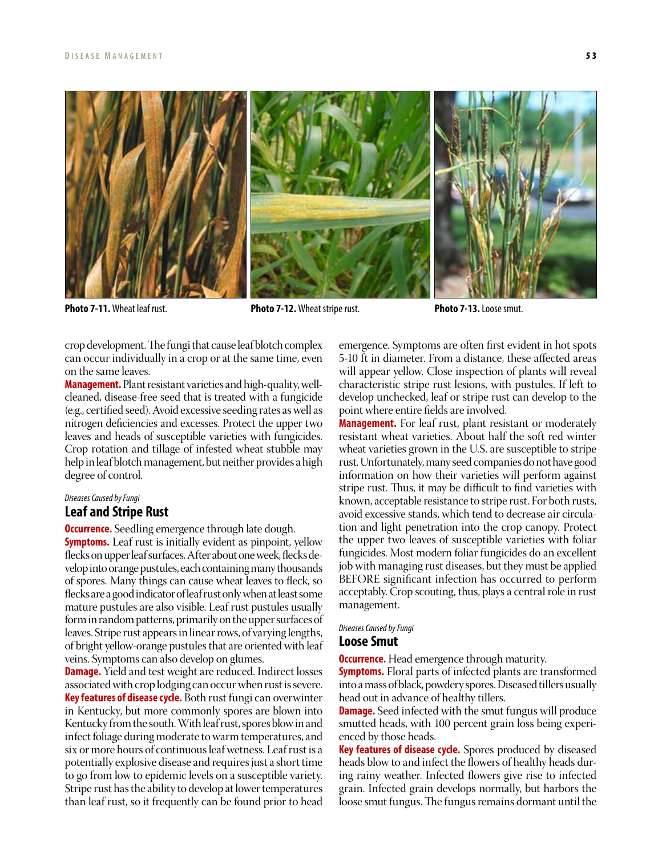

**Photo 7-11.** Wheat leaf rust. **Photo 7-12.** Wheat stripe rust. **Photo 7-13.** Loose smut.

crop development. The fungi that cause leaf blotch complex can occur individually in a crop or at the same time, even on the same leaves.

**Management.** Plant resistant varieties and high-quality, wellcleaned, disease-free seed that is treated with a fungicide (e.g., certified seed). Avoid excessive seeding rates as well as nitrogen deficiencies and excesses. Protect the upper two leaves and heads of susceptible varieties with fungicides. Crop rotation and tillage of infested wheat stubble may help in leaf blotch management, but neither provides a high degree of control.

# *Diseases Caused by Fungi* **Leaf and Stripe Rust**

**Occurrence.** Seedling emergence through late dough.

**Symptoms.** Leaf rust is initially evident as pinpoint, yellow flecks on upper leaf surfaces. After about one week, flecks develop into orange pustules, each containing many thousands of spores. Many things can cause wheat leaves to fleck, so flecks are a good indicator of leaf rust only when at least some mature pustules are also visible. Leaf rust pustules usually form in random patterns, primarily on the upper surfaces of leaves. Stripe rust appears in linear rows, of varying lengths, of bright yellow-orange pustules that are oriented with leaf veins. Symptoms can also develop on glumes.

**Damage.** Yield and test weight are reduced. Indirect losses associated with crop lodging can occur when rust is severe. **Key features of disease cycle.** Both rust fungi can overwinter in Kentucky, but more commonly spores are blown into Kentucky from the south. With leaf rust, spores blow in and infect foliage during moderate to warm temperatures, and six or more hours of continuous leaf wetness. Leaf rust is a potentially explosive disease and requires just a short time to go from low to epidemic levels on a susceptible variety. Stripe rust has the ability to develop at lower temperatures than leaf rust, so it frequently can be found prior to head

emergence. Symptoms are often first evident in hot spots 5-10 ft in diameter. From a distance, these affected areas will appear yellow. Close inspection of plants will reveal characteristic stripe rust lesions, with pustules. If left to develop unchecked, leaf or stripe rust can develop to the point where entire fields are involved.

**Management.** For leaf rust, plant resistant or moderately resistant wheat varieties. About half the soft red winter wheat varieties grown in the U.S. are susceptible to stripe rust. Unfortunately, many seed companies do not have good information on how their varieties will perform against stripe rust. Thus, it may be difficult to find varieties with known, acceptable resistance to stripe rust. For both rusts, avoid excessive stands, which tend to decrease air circulation and light penetration into the crop canopy. Protect the upper two leaves of susceptible varieties with foliar fungicides. Most modern foliar fungicides do an excellent job with managing rust diseases, but they must be applied BEFORE significant infection has occurred to perform acceptably. Crop scouting, thus, plays a central role in rust management.

#### *Diseases Caused by Fungi*

# **Loose Smut**

**Occurrence.** Head emergence through maturity.

**Symptoms.** Floral parts of infected plants are transformed into a mass of black, powdery spores. Diseased tillers usually head out in advance of healthy tillers.

**Damage.** Seed infected with the smut fungus will produce smutted heads, with 100 percent grain loss being experienced by those heads.

**Key features of disease cycle.** Spores produced by diseased heads blow to and infect the flowers of healthy heads during rainy weather. Infected flowers give rise to infected grain. Infected grain develops normally, but harbors the loose smut fungus. The fungus remains dormant until the